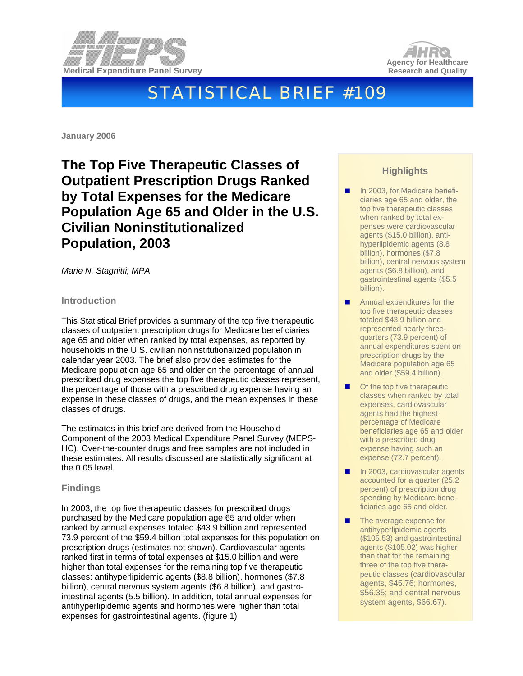



# STATISTICAL BRIEF #109

**January 2006** 

**The Top Five Therapeutic Classes of Outpatient Prescription Drugs Ranked by Total Expenses for the Medicare Population Age 65 and Older in the U.S. Civilian Noninstitutionalized Population, 2003** 

*Marie N. Stagnitti, MPA* 

# **Introduction**

This Statistical Brief provides a summary of the top five therapeutic classes of outpatient prescription drugs for Medicare beneficiaries age 65 and older when ranked by total expenses, as reported by households in the U.S. civilian noninstitutionalized population in calendar year 2003. The brief also provides estimates for the Medicare population age 65 and older on the percentage of annual prescribed drug expenses the top five therapeutic classes represent, the percentage of those with a prescribed drug expense having an expense in these classes of drugs, and the mean expenses in these classes of drugs.

The estimates in this brief are derived from the Household Component of the 2003 Medical Expenditure Panel Survey (MEPS-HC). Over-the-counter drugs and free samples are not included in these estimates. All results discussed are statistically significant at the 0.05 level.

# **Findings**

In 2003, the top five therapeutic classes for prescribed drugs purchased by the Medicare population age 65 and older when ranked by annual expenses totaled \$43.9 billion and represented 73.9 percent of the \$59.4 billion total expenses for this population on prescription drugs (estimates not shown). Cardiovascular agents ranked first in terms of total expenses at \$15.0 billion and were higher than total expenses for the remaining top five therapeutic classes: antihyperlipidemic agents (\$8.8 billion), hormones (\$7.8 billion), central nervous system agents (\$6.8 billion), and gastrointestinal agents (5.5 billion). In addition, total annual expenses for antihyperlipidemic agents and hormones were higher than total expenses for gastrointestinal agents. (figure 1)

# **Highlights**

- In 2003, for Medicare beneficiaries age 65 and older, the top five therapeutic classes when ranked by total expenses were cardiovascular agents (\$15.0 billion), antihyperlipidemic agents (8.8 billion), hormones (\$7.8 billion), central nervous system agents (\$6.8 billion), and gastrointestinal agents (\$5.5 billion).
- **Annual expenditures for the** top five therapeutic classes totaled \$43.9 billion and represented nearly threequarters (73.9 percent) of annual expenditures spent on prescription drugs by the Medicare population age 65 and older (\$59.4 billion).
- Of the top five therapeutic classes when ranked by total expenses, cardiovascular agents had the highest percentage of Medicare beneficiaries age 65 and older with a prescribed drug expense having such an expense (72.7 percent).
- In 2003, cardiovascular agents accounted for a quarter (25.2 percent) of prescription drug spending by Medicare beneficiaries age 65 and older.
- The average expense for antihyperlipidemic agents (\$105.53) and gastrointestinal agents (\$105.02) was higher than that for the remaining three of the top five therapeutic classes (cardiovascular agents, \$45.76; hormones, \$56.35; and central nervous system agents, \$66.67).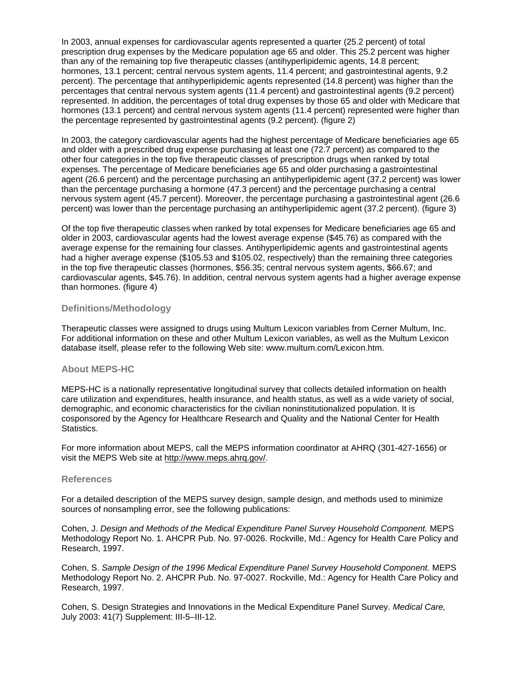In 2003, annual expenses for cardiovascular agents represented a quarter (25.2 percent) of total prescription drug expenses by the Medicare population age 65 and older. This 25.2 percent was higher than any of the remaining top five therapeutic classes (antihyperlipidemic agents, 14.8 percent; hormones, 13.1 percent; central nervous system agents, 11.4 percent; and gastrointestinal agents, 9.2 percent). The percentage that antihyperlipidemic agents represented (14.8 percent) was higher than the percentages that central nervous system agents (11.4 percent) and gastrointestinal agents (9.2 percent) represented. In addition, the percentages of total drug expenses by those 65 and older with Medicare that hormones (13.1 percent) and central nervous system agents (11.4 percent) represented were higher than the percentage represented by gastrointestinal agents (9.2 percent). (figure 2)

In 2003, the category cardiovascular agents had the highest percentage of Medicare beneficiaries age 65 and older with a prescribed drug expense purchasing at least one (72.7 percent) as compared to the other four categories in the top five therapeutic classes of prescription drugs when ranked by total expenses. The percentage of Medicare beneficiaries age 65 and older purchasing a gastrointestinal agent (26.6 percent) and the percentage purchasing an antihyperlipidemic agent (37.2 percent) was lower than the percentage purchasing a hormone (47.3 percent) and the percentage purchasing a central nervous system agent (45.7 percent). Moreover, the percentage purchasing a gastrointestinal agent (26.6 percent) was lower than the percentage purchasing an antihyperlipidemic agent (37.2 percent). (figure 3)

Of the top five therapeutic classes when ranked by total expenses for Medicare beneficiaries age 65 and older in 2003, cardiovascular agents had the lowest average expense (\$45.76) as compared with the average expense for the remaining four classes. Antihyperlipidemic agents and gastrointestinal agents had a higher average expense (\$105.53 and \$105.02, respectively) than the remaining three categories in the top five therapeutic classes (hormones, \$56.35; central nervous system agents, \$66.67; and cardiovascular agents, \$45.76). In addition, central nervous system agents had a higher average expense than hormones. (figure 4)

#### **Definitions/Methodology**

Therapeutic classes were assigned to drugs using Multum Lexicon variables from Cerner Multum, Inc. For additional information on these and other Multum Lexicon variables, as well as the Multum Lexicon database itself, please refer to the following Web site: www.multum.com/Lexicon.htm.

### **About MEPS-HC**

MEPS-HC is a nationally representative longitudinal survey that collects detailed information on health care utilization and expenditures, health insurance, and health status, as well as a wide variety of social, demographic, and economic characteristics for the civilian noninstitutionalized population. It is cosponsored by the Agency for Healthcare Research and Quality and the National Center for Health Statistics.

For more information about MEPS, call the MEPS information coordinator at AHRQ (301-427-1656) or visit the MEPS Web site at [http://www.meps.ahrq.gov/.](http://www.meps.ahrq.gov/)

#### **References**

For a detailed description of the MEPS survey design, sample design, and methods used to minimize sources of nonsampling error, see the following publications:

Cohen, J. *Design and Methods of the Medical Expenditure Panel Survey Household Component.* MEPS Methodology Report No. 1. AHCPR Pub. No. 97-0026. Rockville, Md.: Agency for Health Care Policy and Research, 1997.

Cohen, S. *Sample Design of the 1996 Medical Expenditure Panel Survey Household Component.* MEPS Methodology Report No. 2. AHCPR Pub. No. 97-0027. Rockville, Md.: Agency for Health Care Policy and Research, 1997.

Cohen, S. Design Strategies and Innovations in the Medical Expenditure Panel Survey. *Medical Care,* July 2003: 41(7) Supplement: III-5–III-12.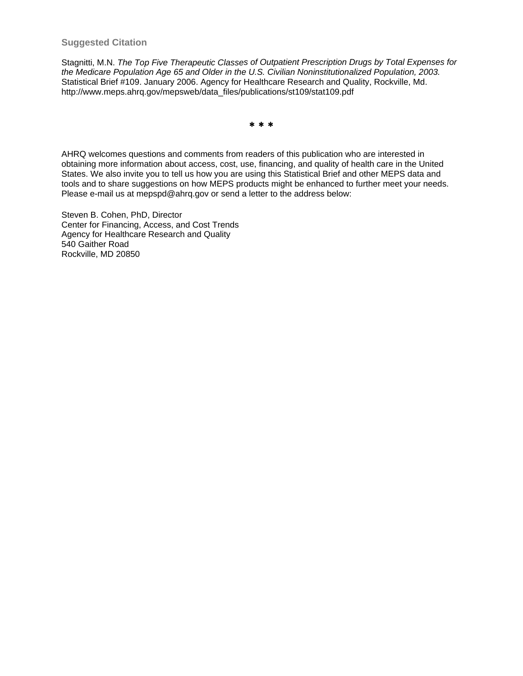## **Suggested Citation**

Stagnitti, M.N. *The Top Five Therapeutic Classes of Outpatient Prescription Drugs by Total Expenses for the Medicare Population Age 65 and Older in the U.S. Civilian Noninstitutionalized Population, 2003.*  Statistical Brief #109. January 2006. Agency for Healthcare Research and Quality, Rockville, Md. [http://www.meps.ahrq.gov/mepsweb/data\\_files/publications/](http://www.meps.ahrq.gov/mepsweb/data_files/publications/st109/stat109.pdf)st109/stat109.pdf

∗ ∗ ∗

AHRQ welcomes questions and comments from readers of this publication who are interested in obtaining more information about access, cost, use, financing, and quality of health care in the United States. We also invite you to tell us how you are using this Statistical Brief and other MEPS data and tools and to share suggestions on how MEPS products might be enhanced to further meet your needs. Please e-mail us at mepspd@ahrq.gov or send a letter to the address below:

Steven B. Cohen, PhD, Director Center for Financing, Access, and Cost Trends Agency for Healthcare Research and Quality 540 Gaither Road Rockville, MD 20850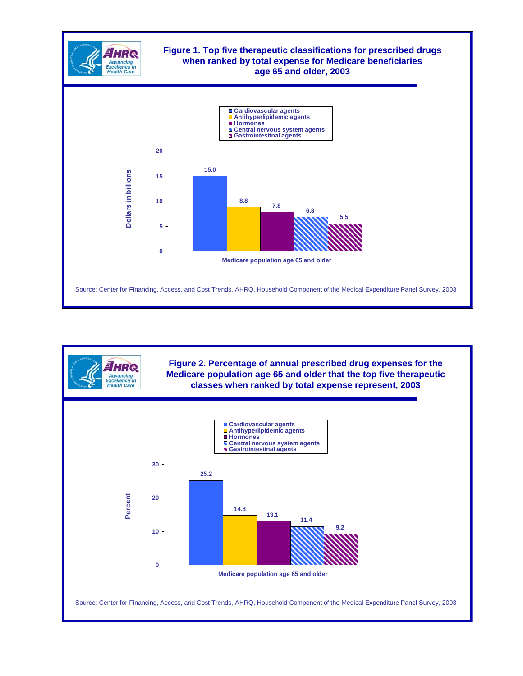